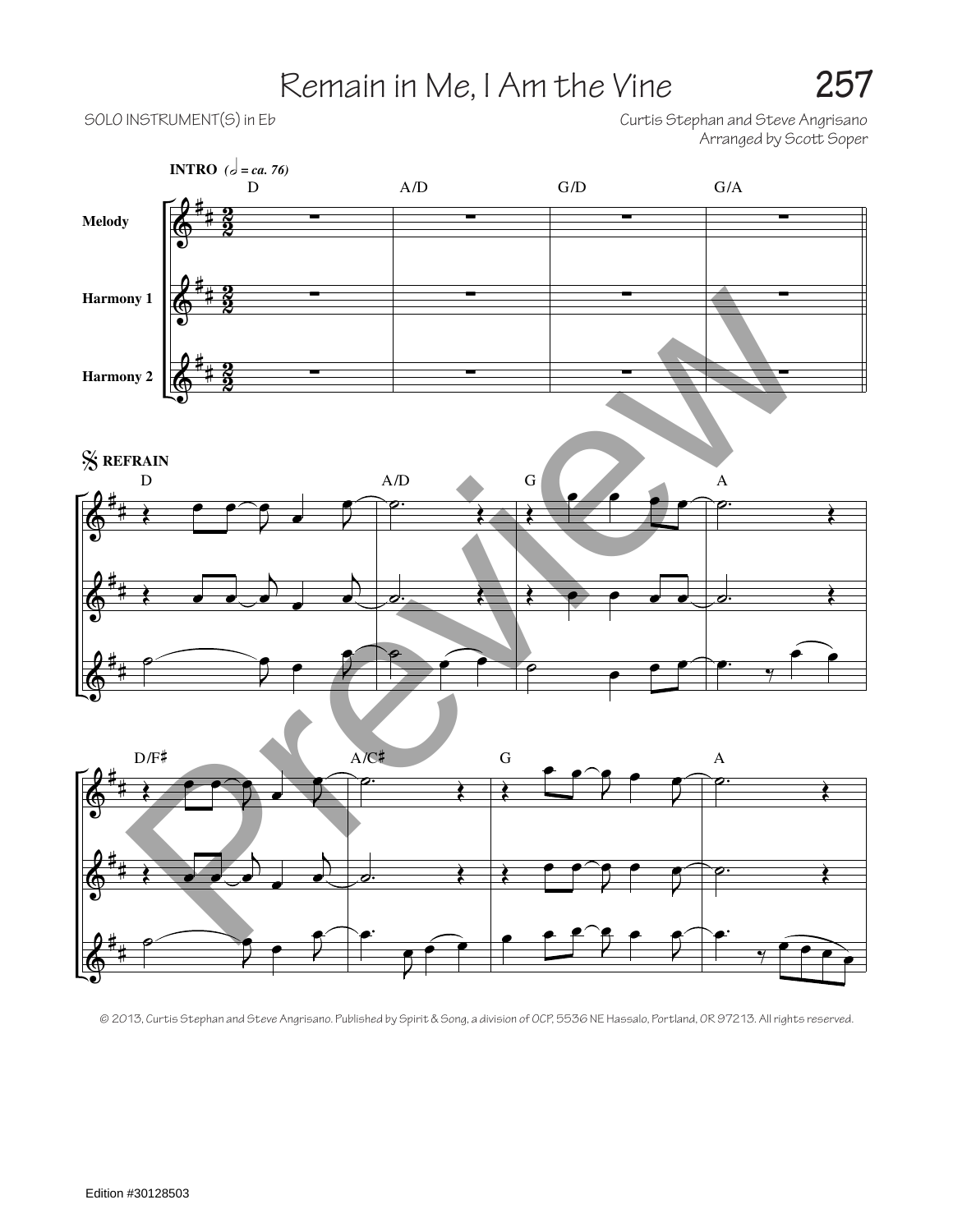## Remain in Me, I Am the Vine **257**

SOLO INSTRUMENT(S) in Eb  $\hbox{\large\it Curt}$  is  $\hbox{\large\it Curt}$  is Stephan and Steve Angrisano Arranged by Scott Soper



© 2013, Curtis Stephan and Steve Angrisano. Published by Spirit & Song, a division of OCP, 5536 NE Hassalo, Portland, OR 97213. All rights reserved.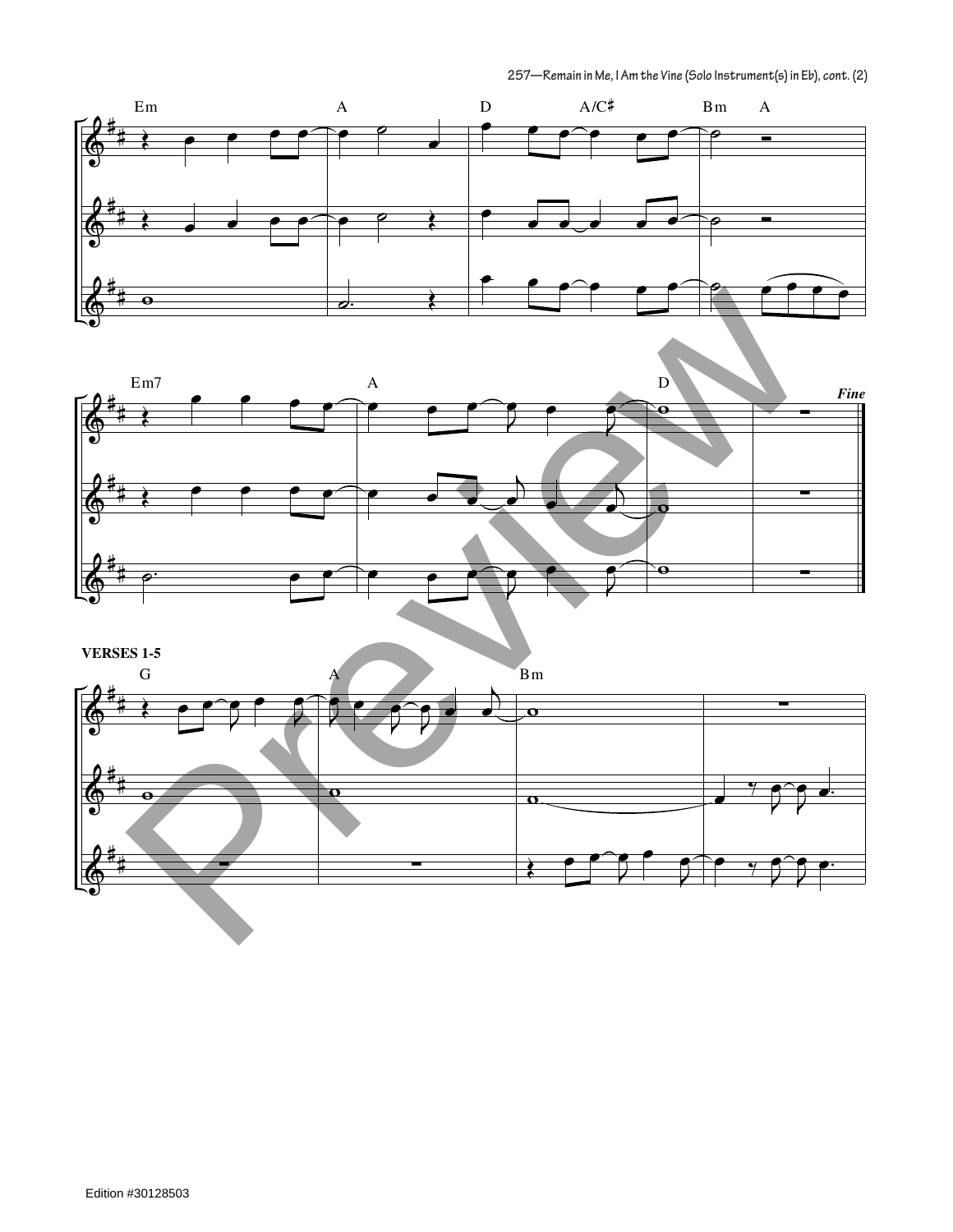